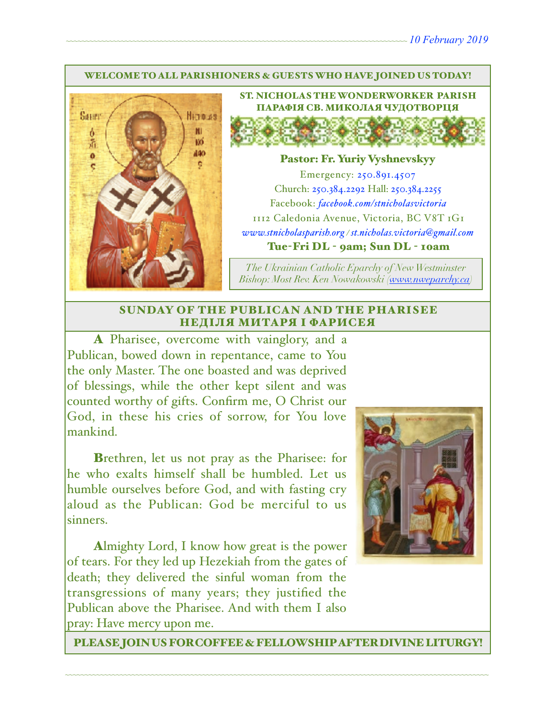#### WELCOME TO ALL PARISHIONERS & GUESTS WHO HAVE JOINED US TODAY!



ST. NICHOLAS THE WONDERWORKER PARISH ПАРАФІЯ СВ. МИКОЛАЯ ЧУДОТВОРЦЯ

### Pastor: Fr. Yuriy Vyshnevskyy

Emergency: 250.891.4507 Church: 250.384.2292 Hall: 250.384.2255 Facebook: *[facebook.com/stnicholasvictoria](http://facebook.com/stnicholasvictoria)* 1112 Caledonia Avenue, Victoria, BC V8T 1G1 *[www.stnicholasparish.org](http://www.stnicholasparish.org) / [st.nicholas.victoria@gmail.com](mailto:st.nicholas.victoria@gmail.com)* Tue-Fri DL - 9am; Sun DL - 10am

*The Ukrainian Catholic Eparchy of New Westminster Bishop: Most Rev. Ken Nowakowski ([www.nweparchy.ca](http://www.nweparchy.ca))*

#### SUNDAY OF THE PUBLICAN AND THE PHARISEE НЕДІЛЯ МИТАРЯ І ФАРИСЕЯ

A Pharisee, overcome with vainglory, and a Publican, bowed down in repentance, came to You the only Master. The one boasted and was deprived of blessings, while the other kept silent and was counted worthy of gifts. Confirm me, O Christ our God, in these his cries of sorrow, for You love mankind.

Brethren, let us not pray as the Pharisee: for he who exalts himself shall be humbled. Let us humble ourselves before God, and with fasting cry aloud as the Publican: God be merciful to us sinners.

Almighty Lord, I know how great is the power of tears. For they led up Hezekiah from the gates of death; they delivered the sinful woman from the transgressions of many years; they justified the Publican above the Pharisee. And with them I also pray: Have mercy upon me.



PLEASE JOIN US FOR COFFEE & FELLOWSHIP AFTER DIVINE LITURGY!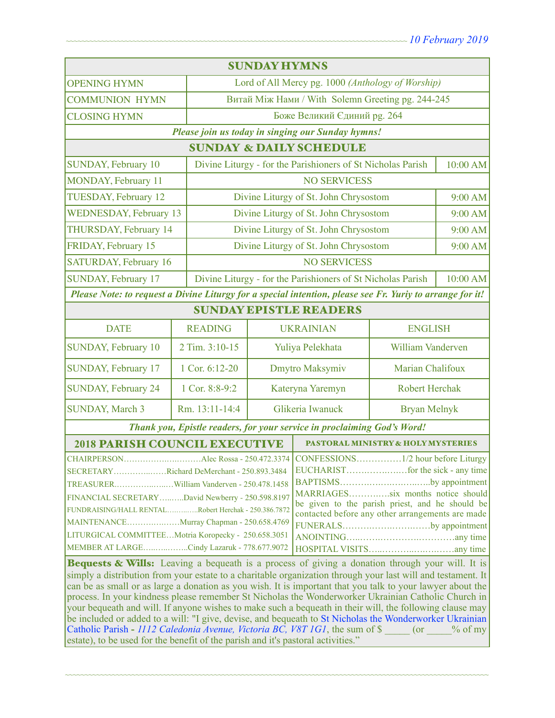| <b>SUNDAY HYMNS</b>                                                                                                                      |                                                                         |                                                   |                                                             |                          |          |  |
|------------------------------------------------------------------------------------------------------------------------------------------|-------------------------------------------------------------------------|---------------------------------------------------|-------------------------------------------------------------|--------------------------|----------|--|
| <b>OPENING HYMN</b>                                                                                                                      |                                                                         | Lord of All Mercy pg. 1000 (Anthology of Worship) |                                                             |                          |          |  |
| <b>COMMUNION HYMN</b>                                                                                                                    |                                                                         | Витай Між Нами / With Solemn Greeting pg. 244-245 |                                                             |                          |          |  |
| <b>CLOSING HYMN</b>                                                                                                                      |                                                                         | Боже Великий Єдиний рg. 264                       |                                                             |                          |          |  |
| Please join us today in singing our Sunday hymns!                                                                                        |                                                                         |                                                   |                                                             |                          |          |  |
| <b>SUNDAY &amp; DAILY SCHEDULE</b>                                                                                                       |                                                                         |                                                   |                                                             |                          |          |  |
| <b>SUNDAY, February 10</b>                                                                                                               |                                                                         |                                                   | Divine Liturgy - for the Parishioners of St Nicholas Parish |                          | 10:00 AM |  |
| MONDAY, February 11                                                                                                                      |                                                                         |                                                   | <b>NO SERVICESS</b>                                         |                          |          |  |
| TUESDAY, February 12                                                                                                                     |                                                                         | Divine Liturgy of St. John Chrysostom             |                                                             |                          |          |  |
| <b>WEDNESDAY, February 13</b>                                                                                                            |                                                                         | Divine Liturgy of St. John Chrysostom             |                                                             |                          | 9:00 AM  |  |
| THURSDAY, February 14                                                                                                                    |                                                                         | Divine Liturgy of St. John Chrysostom             |                                                             |                          | 9:00 AM  |  |
| FRIDAY, February 15                                                                                                                      |                                                                         |                                                   | Divine Liturgy of St. John Chrysostom                       |                          | 9:00 AM  |  |
| <b>SATURDAY, February 16</b>                                                                                                             |                                                                         | <b>NO SERVICESS</b>                               |                                                             |                          |          |  |
| <b>SUNDAY, February 17</b>                                                                                                               | Divine Liturgy - for the Parishioners of St Nicholas Parish<br>10:00 AM |                                                   |                                                             |                          |          |  |
| Please Note: to request a Divine Liturgy for a special intention, please see Fr. Yuriy to arrange for it!                                |                                                                         |                                                   |                                                             |                          |          |  |
| <b>SUNDAY EPISTLE READERS</b>                                                                                                            |                                                                         |                                                   |                                                             |                          |          |  |
| <b>DATE</b>                                                                                                                              | <b>READING</b>                                                          | <b>UKRAINIAN</b>                                  |                                                             | <b>ENGLISH</b>           |          |  |
| <b>SUNDAY, February 10</b>                                                                                                               | 2 Tim. 3:10-15                                                          |                                                   | Yuliya Pelekhata                                            | <b>William Vanderven</b> |          |  |
| SUNDAY, February 17                                                                                                                      | 1 Cor. 6:12-20                                                          | Dmytro Maksymiv                                   |                                                             | Marian Chalifoux         |          |  |
| <b>SUNDAY, February 24</b>                                                                                                               | 1 Cor. 8:8-9:2                                                          | Kateryna Yaremyn                                  |                                                             | <b>Robert Herchak</b>    |          |  |
| <b>SUNDAY, March 3</b>                                                                                                                   | Rm. 13:11-14:4                                                          | Glikeria Iwanuck                                  |                                                             | <b>Bryan Melnyk</b>      |          |  |
| Thank you, Epistle readers, for your service in proclaiming God's Word!                                                                  |                                                                         |                                                   |                                                             |                          |          |  |
| <b>2018 PARISH COUNCIL EXECUTIVE</b>                                                                                                     |                                                                         |                                                   | <b>PASTORAL MINISTRY &amp; HOLY MYSTERIES</b>               |                          |          |  |
|                                                                                                                                          |                                                                         |                                                   |                                                             |                          |          |  |
| SECRETARYRichard DeMerchant - 250.893.3484                                                                                               |                                                                         |                                                   |                                                             |                          |          |  |
|                                                                                                                                          |                                                                         |                                                   | BAPTISMSby appointment                                      |                          |          |  |
| MARRIAGESsix months notice should<br>FINANCIAL SECRETARYDavid Newberry - 250.598.8197<br>be given to the parish priest, and he should be |                                                                         |                                                   |                                                             |                          |          |  |
| FUNDRAISING/HALL RENTALRobert Herchak - 250.386.7872<br>contacted before any other arrangements are made                                 |                                                                         |                                                   |                                                             |                          |          |  |
| MAINTENANCEMurray Chapman - 250.658.4769<br>FUNERALSby appointment                                                                       |                                                                         |                                                   |                                                             |                          |          |  |
| LITURGICAL COMMITTEEMotria Koropecky - 250.658.3051                                                                                      |                                                                         |                                                   |                                                             |                          |          |  |
| MEMBER AT LARGECindy Lazaruk - 778.677.9072                                                                                              |                                                                         |                                                   |                                                             |                          |          |  |
| <b>Bequests &amp; Wills:</b> Leaving a bequeath is a process of giving a donation through your will. It is                               |                                                                         |                                                   |                                                             |                          |          |  |
| simply a distribution from your estate to a charitable organization through your last will and testament. It                             |                                                                         |                                                   |                                                             |                          |          |  |
| can be as small or as large a donation as you wish. It is important that you talk to your lawyer about the                               |                                                                         |                                                   |                                                             |                          |          |  |
| process. In your kindness please remember St Nicholas the Wonderworker Ukrainian Catholic Church in                                      |                                                                         |                                                   |                                                             |                          |          |  |
| your bequeath and will. If anyone wishes to make such a bequeath in their will, the following clause may                                 |                                                                         |                                                   |                                                             |                          |          |  |
| be included or added to a will: "I give, devise, and bequeath to St Nicholas the Wonderworker Ukrainian                                  |                                                                         |                                                   |                                                             |                          |          |  |
| Catholic Parish - 1112 Caledonia Avenue, Victoria BC, V8T 1G1, the sum of \$ (or % of my                                                 |                                                                         |                                                   |                                                             |                          |          |  |
| estate), to be used for the benefit of the parish and it's pastoral activities."                                                         |                                                                         |                                                   |                                                             |                          |          |  |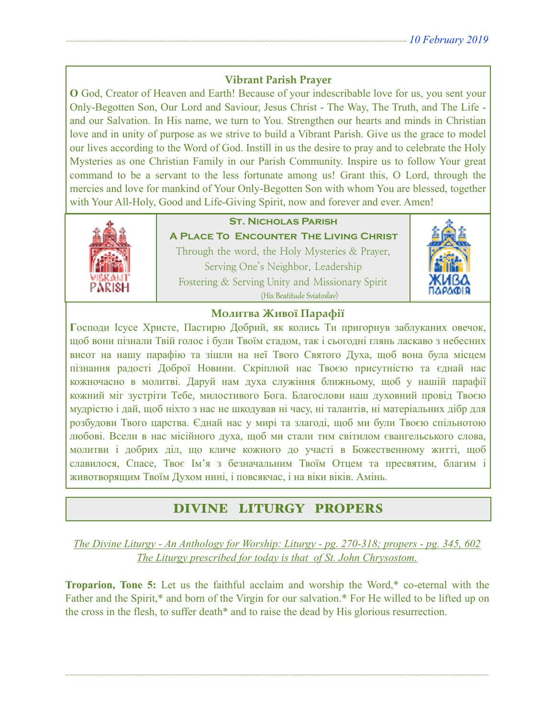# **Vibrant Parish Prayer**

**O** God, Creator of Heaven and Earth! Because of your indescribable love for us, you sent your Only-Begotten Son, Our Lord and Saviour, Jesus Christ - The Way, The Truth, and The Life and our Salvation. In His name, we turn to You. Strengthen our hearts and minds in Christian love and in unity of purpose as we strive to build a Vibrant Parish. Give us the grace to model our lives according to the Word of God. Instill in us the desire to pray and to celebrate the Holy Mysteries as one Christian Family in our Parish Community. Inspire us to follow Your great command to be a servant to the less fortunate among us! Grant this, O Lord, through the mercies and love for mankind of Your Only-Begotten Son with whom You are blessed, together with Your All-Holy, Good and Life-Giving Spirit, now and forever and ever. Amen!



# **St. Nicholas Parish**

**A Place To Encounter The Living Christ** Through the word, the Holy Mysteries & Prayer, Serving One's Neighbor, Leadership Fostering & Serving Unity and Missionary Spirit (His Beatitude Sviatoslav)



# **Молитва Живої Парафії**

**Г**осподи Ісусе Христе, Пастирю Добрий, як колись Ти пригорнув заблуканих овечок, щоб вони пізнали Твій голос і були Твоїм стадом, так і сьогодні глянь ласкаво з небесних висот на нашу парафію та зішли на неї Твого Святого Духа, щоб вона була місцем пізнання радості Доброї Новини. Скріплюй нас Твоєю присутністю та єднай нас кожночасно в молитві. Даруй нам духа служіння ближньому, щоб у нашій парафії кожний міг зустріти Тебе, милостивого Бога. Благослови наш духовний провід Твоєю мудрістю і дай, щоб ніхто з нас не шкодував ні часу, ні талантів, ні матеріальних дібр для розбудови Твого царства. Єднай нас у мирі та злагоді, щоб ми були Твоєю спільнотою любові. Всели в нас місійного духа, щоб ми стали тим світилом євангельського слова, молитви і добрих діл, що кличе кожного до участі в Божественному житті, щоб славилося, Спасе, Твоє Ім'я з безначальним Твоїм Отцем та пресвятим, благим і животворящим Твоїм Духом нині, і повсякчас, і на віки віків. Амінь.

# DIVINE LITURGY PROPERS

*The Divine Liturgy - An Anthology for Worship: Liturgy - pg. 270-318; propers - pg. 345, 602 The Liturgy prescribed for today is that of St. John Chrysostom.* 

**Troparion, Tone 5:** Let us the faithful acclaim and worship the Word,\* co-eternal with the Father and the Spirit,\* and born of the Virgin for our salvation.\* For He willed to be lifted up on the cross in the flesh, to suffer death\* and to raise the dead by His glorious resurrection.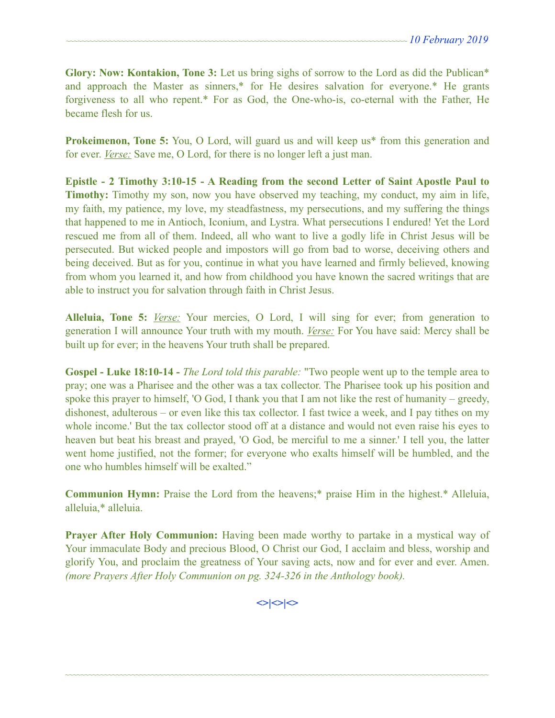**Glory: Now: Kontakion, Tone 3:** Let us bring sighs of sorrow to the Lord as did the Publican\* and approach the Master as sinners,\* for He desires salvation for everyone.\* He grants forgiveness to all who repent.\* For as God, the One-who-is, co-eternal with the Father, He became flesh for us.

**Prokeimenon, Tone 5:** You, O Lord, will guard us and will keep us<sup>\*</sup> from this generation and for ever. *Verse:* Save me, O Lord, for there is no longer left a just man.

**Epistle - 2 Timothy 3:10-15 - A Reading from the second Letter of Saint Apostle Paul to Timothy:** Timothy my son, now you have observed my teaching, my conduct, my aim in life, my faith, my patience, my love, my steadfastness, my persecutions, and my suffering the things that happened to me in Antioch, Iconium, and Lystra. What persecutions I endured! Yet the Lord rescued me from all of them. Indeed, all who want to live a godly life in Christ Jesus will be persecuted. But wicked people and impostors will go from bad to worse, deceiving others and being deceived. But as for you, continue in what you have learned and firmly believed, knowing from whom you learned it, and how from childhood you have known the sacred writings that are able to instruct you for salvation through faith in Christ Jesus.

**Alleluia, Tone 5:** *Verse:* Your mercies, O Lord, I will sing for ever; from generation to generation I will announce Your truth with my mouth. *Verse:* For You have said: Mercy shall be built up for ever; in the heavens Your truth shall be prepared.

**Gospel - Luke 18:10-14 -** *The Lord told this parable:* "Two people went up to the temple area to pray; one was a Pharisee and the other was a tax collector. The Pharisee took up his position and spoke this prayer to himself, 'O God, I thank you that I am not like the rest of humanity – greedy, dishonest, adulterous – or even like this tax collector. I fast twice a week, and I pay tithes on my whole income.' But the tax collector stood off at a distance and would not even raise his eyes to heaven but beat his breast and prayed, 'O God, be merciful to me a sinner.' I tell you, the latter went home justified, not the former; for everyone who exalts himself will be humbled, and the one who humbles himself will be exalted."

**Communion Hymn:** Praise the Lord from the heavens;\* praise Him in the highest.\* Alleluia, alleluia,\* alleluia.

**Prayer After Holy Communion:** Having been made worthy to partake in a mystical way of Your immaculate Body and precious Blood, O Christ our God, I acclaim and bless, worship and glorify You, and proclaim the greatness of Your saving acts, now and for ever and ever. Amen. *(more Prayers After Holy Communion on pg. 324-326 in the Anthology book).* 

 $\left| \diamond \right| \diamond \left| \diamond \right|$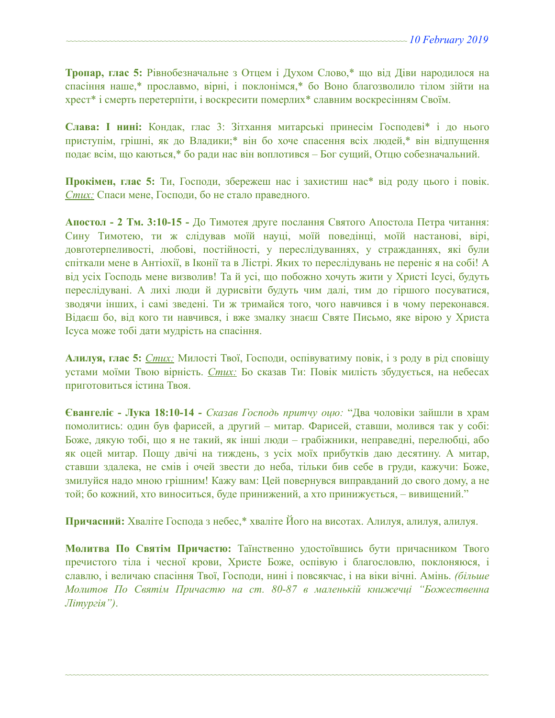**Тропар, глас 5:** Рівнобезначальне з Отцем і Духом Слово,\* що від Діви народилося на спасіння наше,\* прославмо, вірні, і поклонімся,\* бо Воно благозволило тілом зійти на хрест\* і смерть перетерпіти, і воскресити померлих\* славним воскресінням Своїм.

**Слава: І нині:** Кондак, глас 3: Зітхання митарські принесім Господеві\* і до нього приступім, грішні, як до Владики;\* він бо хоче спасення всіх людей,\* він відпущення подає всім, що каються,\* бо ради нас він воплотився – Бог сущий, Отцю собезначальний.

**Прокімен, глас 5:** Ти, Господи, збережеш нас і захистиш нас\* від роду цього і повік. *Стих:* Спаси мене, Господи, бо не стало праведного.

**Апостол - 2 Тм. 3:10-15 -** До Тимотея друге послання Святого Апостола Петра читання: Сину Тимотею, ти ж слідував моїй науці, моїй поведінці, моїй настанові, вірі, довготерпеливості, любові, постійності, у переслідуваннях, у стражданнях, які були спіткали мене в Антіохії, в Іконії та в Лістрі. Яких то переслідувань не переніс я на собі! А від усіх Господь мене визволив! Та й усі, що побожно хочуть жити у Христі Ісусі, будуть переслідувані. А лихі люди й дурисвіти будуть чим далі, тим до гіршого посуватися, зводячи інших, і самі зведені. Ти ж тримайся того, чого навчився і в чому переконався. Відаєш бо, від кого ти навчився, і вже змалку знаєш Святе Письмо, яке вірою у Христа Ісуса може тобі дати мудрість на спасіння.

**Алилуя, глас 5:** *Стих:* Милості Твої, Господи, оспівуватиму повік, і з роду в рід сповіщу устами моїми Твою вірність. *Стих:* Бо сказав Ти: Повік милість збудується, на небесах приготовиться істина Твоя.

**Євангеліє - Лука 18:10-14 -** *Сказав Господь притчу оцю:* "Два чоловіки зайшли в храм помолитись: один був фарисей, а другий – митар. Фарисей, ставши, молився так у собі: Боже, дякую тобі, що я не такий, як інші люди – грабіжники, неправедні, перелюбці, або як оцей митар. Пощу двічі на тиждень, з усіх моїх прибутків даю десятину. А митар, ставши здалека, не смів і очей звести до неба, тільки бив себе в груди, кажучи: Боже, змилуйся надо мною грішним! Кажу вам: Цей повернувся виправданий до свого дому, а не той; бо кожний, хто виноситься, буде принижений, а хто принижується, – вивищений."

**Причасний:** Хваліте Господа з небес,\* хваліте Його на висотах. Алилуя, алилуя, алилуя.

**Молитва По Святім Причастю:** Таїнственно удостоївшись бути причасником Твого пречистого тіла і чесної крови, Христе Боже, оспівую і благословлю, поклоняюся, і славлю, і величаю спасіння Твої, Господи, нині і повсякчас, і на віки вічні. Амінь. *(більше Молитов По Святім Причастю на ст. 80-87 в маленькій книжечці "Божественна Літургія")*.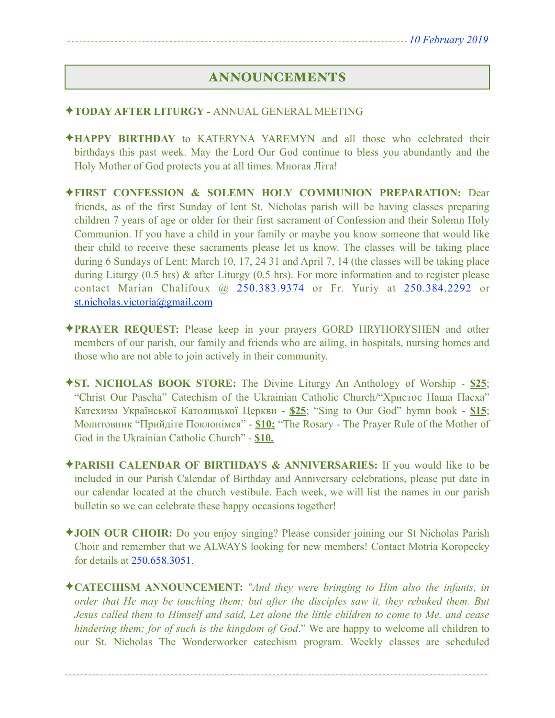# ANNOUNCEMENTS

#### ✦**TODAY AFTER LITURGY -** ANNUAL GENERAL MEETING

- ✦**HAPPY BIRTHDAY** to KATERYNA YAREMYN and all those who celebrated their birthdays this past week. May the Lord Our God continue to bless you abundantly and the Holy Mother of God protects you at all times. Многая Літа!
- ✦**FIRST CONFESSION & SOLEMN HOLY COMMUNION PREPARATION:** Dear friends, as of the first Sunday of lent St. Nicholas parish will be having classes preparing children 7 years of age or older for their first sacrament of Confession and their Solemn Holy Communion. If you have a child in your family or maybe you know someone that would like their child to receive these sacraments please let us know. The classes will be taking place during 6 Sundays of Lent: March 10, 17, 24 31 and April 7, 14 (the classes will be taking place during Liturgy (0.5 hrs) & after Liturgy (0.5 hrs). For more information and to register please contact Marian Chalifoux @ 250.383.9374 or Fr. Yuriy at 250.384.2292 or [st.nicholas.victoria@gmail.com](mailto:st.nicholas.victoria@gmail.com)
- ✦**PRAYER REQUEST:** Please keep in your prayers GORD HRYHORYSHEN and other members of our parish, our family and friends who are ailing, in hospitals, nursing homes and those who are not able to join actively in their community.
- ✦**ST. NICHOLAS BOOK STORE:** The Divine Liturgy An Anthology of Worship **\$25**; "Christ Our Pascha" Catechism of the Ukrainian Catholic Church/"Христос Наша Пасха" Катехизм Української Католицької Церкви - **\$25**; "Sing to Our God" hymn book - **\$15**; Молитовник "Прийдіте Поклонімся" - **\$10;** "The Rosary - The Prayer Rule of the Mother of God in the Ukrainian Catholic Church" - **\$10.**
- ✦**PARISH CALENDAR OF BIRTHDAYS & ANNIVERSARIES:** If you would like to be included in our Parish Calendar of Birthday and Anniversary celebrations, please put date in our calendar located at the church vestibule. Each week, we will list the names in our parish bulletin so we can celebrate these happy occasions together!
- ✦**JOIN OUR CHOIR:** Do you enjoy singing? Please consider joining our St Nicholas Parish Choir and remember that we ALWAYS looking for new members! Contact Motria Koropecky for details at 250.658.3051.
- ✦**CATECHISM ANNOUNCEMENT:** "*And they were bringing to Him also the infants, in order that He may be touching them; but after the disciples saw it, they rebuked them. But Jesus called them to Himself and said, Let alone the little children to come to Me, and cease hindering them; for of such is the kingdom of God*." We are happy to welcome all children to our St. Nicholas The Wonderworker catechism program. Weekly classes are scheduled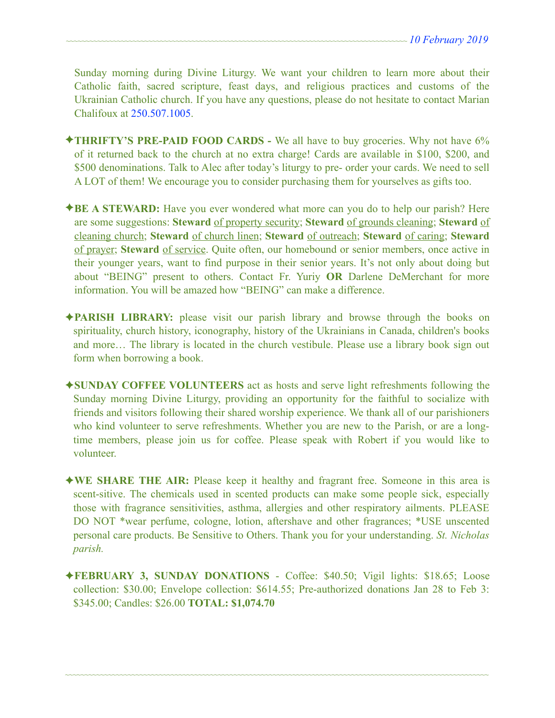Sunday morning during Divine Liturgy. We want your children to learn more about their Catholic faith, sacred scripture, feast days, and religious practices and customs of the Ukrainian Catholic church. If you have any questions, please do not hesitate to contact Marian Chalifoux at 250.507.1005.

- ✦**THRIFTY'S PRE-PAID FOOD CARDS** We all have to buy groceries. Why not have 6% of it returned back to the church at no extra charge! Cards are available in \$100, \$200, and \$500 denominations. Talk to Alec after today's liturgy to pre- order your cards. We need to sell A LOT of them! We encourage you to consider purchasing them for yourselves as gifts too.
- ✦**BE A STEWARD:** Have you ever wondered what more can you do to help our parish? Here are some suggestions: **Steward** of property security; **Steward** of grounds cleaning; **Steward** of cleaning church; **Steward** of church linen; **Steward** of outreach; **Steward** of caring; **Steward** of prayer; **Steward** of service. Quite often, our homebound or senior members, once active in their younger years, want to find purpose in their senior years. It's not only about doing but about "BEING" present to others. Contact Fr. Yuriy **OR** Darlene DeMerchant for more information. You will be amazed how "BEING" can make a difference.
- ✦**PARISH LIBRARY:** please visit our parish library and browse through the books on spirituality, church history, iconography, history of the Ukrainians in Canada, children's books and more… The library is located in the church vestibule. Please use a library book sign out form when borrowing a book.
- ✦**SUNDAY COFFEE VOLUNTEERS** act as hosts and serve light refreshments following the Sunday morning Divine Liturgy, providing an opportunity for the faithful to socialize with friends and visitors following their shared worship experience. We thank all of our parishioners who kind volunteer to serve refreshments. Whether you are new to the Parish, or are a longtime members, please join us for coffee. Please speak with Robert if you would like to volunteer.
- ✦**WE SHARE THE AIR:** Please keep it healthy and fragrant free. Someone in this area is scent-sitive. The chemicals used in scented products can make some people sick, especially those with fragrance sensitivities, asthma, allergies and other respiratory ailments. PLEASE DO NOT \*wear perfume, cologne, lotion, aftershave and other fragrances; \*USE unscented personal care products. Be Sensitive to Others. Thank you for your understanding. *St. Nicholas parish.*
- ✦**FEBRUARY 3, SUNDAY DONATIONS**  Coffee: \$40.50; Vigil lights: \$18.65; Loose collection: \$30.00; Envelope collection: \$614.55; Pre-authorized donations Jan 28 to Feb 3: \$345.00; Candles: \$26.00 **TOTAL: \$1,074.70**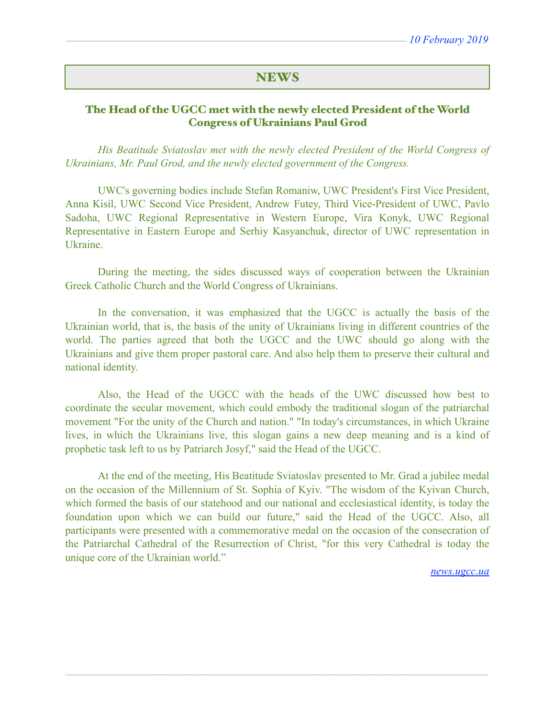# **NEWS**

### The Head of the UGCC met with the newly elected President of the World Congress of Ukrainians Paul Grod

 *His Beatitude Sviatoslav met with the newly elected President of the World Congress of Ukrainians, Mr. Paul Grod, and the newly elected government of the Congress.* 

 UWC's governing bodies include Stefan Romaniw, UWC President's First Vice President, Anna Kisil, UWC Second Vice President, Andrew Futey, Third Vice-President of UWC, Pavlo Sadoha, UWC Regional Representative in Western Europe, Vira Konyk, UWC Regional Representative in Eastern Europe and Serhiy Kasyanchuk, director of UWC representation in Ukraine.

 During the meeting, the sides discussed ways of cooperation between the Ukrainian Greek Catholic Church and the World Congress of Ukrainians.

 In the conversation, it was emphasized that the UGCC is actually the basis of the Ukrainian world, that is, the basis of the unity of Ukrainians living in different countries of the world. The parties agreed that both the UGCC and the UWC should go along with the Ukrainians and give them proper pastoral care. And also help them to preserve their cultural and national identity.

 Also, the Head of the UGCC with the heads of the UWC discussed how best to coordinate the secular movement, which could embody the traditional slogan of the patriarchal movement "For the unity of the Church and nation." "In today's circumstances, in which Ukraine lives, in which the Ukrainians live, this slogan gains a new deep meaning and is a kind of prophetic task left to us by Patriarch Josyf," said the Head of the UGCC.

 At the end of the meeting, His Beatitude Sviatoslav presented to Mr. Grad a jubilee medal on the occasion of the Millennium of St. Sophia of Kyiv. "The wisdom of the Kyivan Church, which formed the basis of our statehood and our national and ecclesiastical identity, is today the foundation upon which we can build our future," said the Head of the UGCC. Also, all participants were presented with a commemorative medal on the occasion of the consecration of the Patriarchal Cathedral of the Resurrection of Christ, "for this very Cathedral is today the unique core of the Ukrainian world."

~~~~~~~~~~~~~~~~~~~~~~~~~~~~~~~~~~~~~~~~~~~~~~~~~~~~~~~~~~~~~~~~~~~~~~~~~~~~~~~~~~~~~~~~~~~~~~~~~~~~~~~~~~~~

*[news.ugcc.ua](http://news.ugcc.ua)*